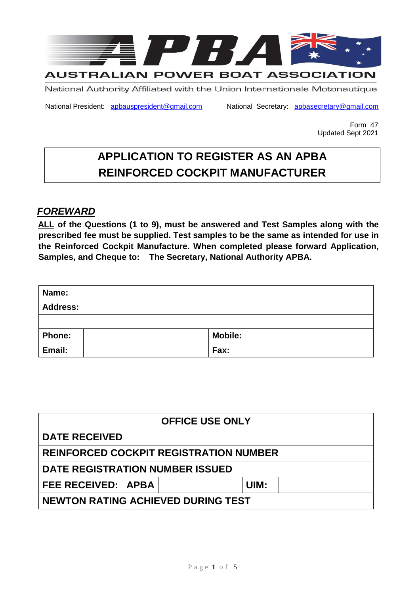

National Authority Affiliated with the Union Internationale Motonautique

National President: apbauspresident@gmail.com National Secretary: apbasecretary@gmail.com

Form 47 Updated Sept 2021

# **APPLICATION TO REGISTER AS AN APBA REINFORCED COCKPIT MANUFACTURER**

# *FOREWARD*

**ALL of the Questions (1 to 9), must be answered and Test Samples along with the prescribed fee must be supplied. Test samples to be the same as intended for use in the Reinforced Cockpit Manufacture. When completed please forward Application, Samples, and Cheque to: The Secretary, National Authority APBA.** 

| Name:           |                |  |  |
|-----------------|----------------|--|--|
| <b>Address:</b> |                |  |  |
|                 |                |  |  |
| <b>Phone:</b>   | <b>Mobile:</b> |  |  |
| Email:          | Fax:           |  |  |

| <b>OFFICE USE ONLY</b>                        |      |  |  |  |
|-----------------------------------------------|------|--|--|--|
| <b>DATE RECEIVED</b>                          |      |  |  |  |
| <b>REINFORCED COCKPIT REGISTRATION NUMBER</b> |      |  |  |  |
| DATE REGISTRATION NUMBER ISSUED               |      |  |  |  |
| FEE RECEIVED: APBA                            | UIM: |  |  |  |
| <b>NEWTON RATING ACHIEVED DURING TEST</b>     |      |  |  |  |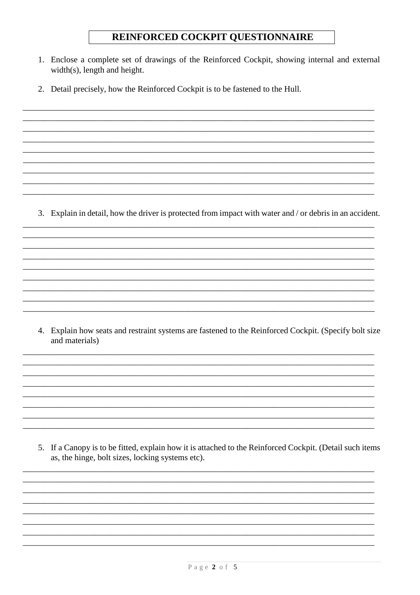# REINFORCED COCKPIT QUESTIONNAIRE

- 1. Enclose a complete set of drawings of the Reinforced Cockpit, showing internal and external  $width(s)$ , length and height.
- 2. Detail precisely, how the Reinforced Cockpit is to be fastened to the Hull.

3. Explain in detail, how the driver is protected from impact with water and / or debris in an accident.

4. Explain how seats and restraint systems are fastened to the Reinforced Cockpit. (Specify bolt size and materials)

5. If a Canopy is to be fitted, explain how it is attached to the Reinforced Cockpit. (Detail such items as, the hinge, bolt sizes, locking systems etc).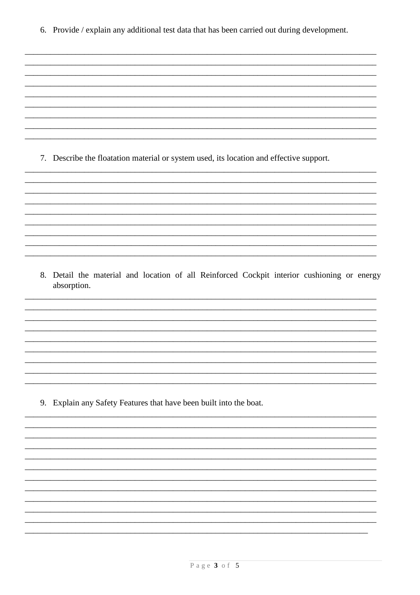6. Provide / explain any additional test data that has been carried out during development.

7. Describe the floatation material or system used, its location and effective support.

8. Detail the material and location of all Reinforced Cockpit interior cushioning or energy absorption.

9. Explain any Safety Features that have been built into the boat.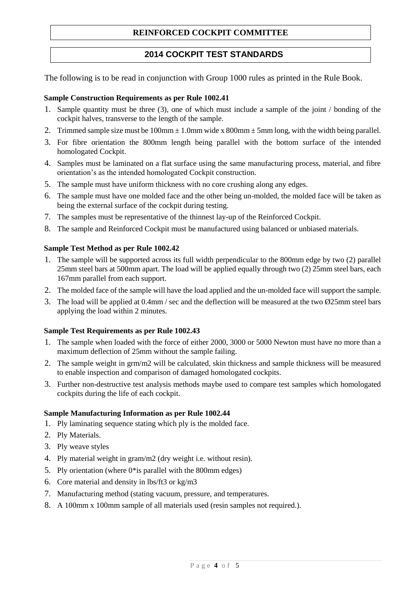# **REINFORCED COCKPIT COMMITTEE**

# **2014 COCKPIT TEST STANDARDS**

The following is to be read in conjunction with Group 1000 rules as printed in the Rule Book.

#### **Sample Construction Requirements as per Rule 1002.41**

- 1. Sample quantity must be three (3), one of which must include a sample of the joint / bonding of the cockpit halves, transverse to the length of the sample.
- 2. Trimmed sample size must be  $100 \text{mm} \pm 1.0 \text{mm}$  wide x  $800 \text{mm} \pm 5 \text{mm}$  long, with the width being parallel.
- 3. For fibre orientation the 800mm length being parallel with the bottom surface of the intended homologated Cockpit.
- 4. Samples must be laminated on a flat surface using the same manufacturing process, material, and fibre orientation's as the intended homologated Cockpit construction.
- 5. The sample must have uniform thickness with no core crushing along any edges.
- 6. The sample must have one molded face and the other being un-molded, the molded face will be taken as being the external surface of the cockpit during testing.
- 7. The samples must be representative of the thinnest lay-up of the Reinforced Cockpit.
- 8. The sample and Reinforced Cockpit must be manufactured using balanced or unbiased materials.

#### **Sample Test Method as per Rule 1002.42**

- 1. The sample will be supported across its full width perpendicular to the 800mm edge by two (2) parallel 25mm steel bars at 500mm apart. The load will be applied equally through two (2) 25mm steel bars, each 167mm parallel from each support.
- 2. The molded face of the sample will have the load applied and the un-molded face will support the sample.
- 3. The load will be applied at 0.4mm / sec and the deflection will be measured at the two Ø25mm steel bars applying the load within 2 minutes.

#### **Sample Test Requirements as per Rule 1002.43**

- 1. The sample when loaded with the force of either 2000, 3000 or 5000 Newton must have no more than a maximum deflection of 25mm without the sample failing.
- 2. The sample weight in grm/m2 will be calculated, skin thickness and sample thickness will be measured to enable inspection and comparison of damaged homologated cockpits.
- 3. Further non-destructive test analysis methods maybe used to compare test samples which homologated cockpits during the life of each cockpit.

#### **Sample Manufacturing Information as per Rule 1002.44**

- 1. Ply laminating sequence stating which ply is the molded face.
- 2. Ply Materials.
- 3. Ply weave styles
- 4. Ply material weight in gram/m2 (dry weight i.e. without resin).
- 5. Ply orientation (where 0\*is parallel with the 800mm edges)
- 6. Core material and density in lbs/ft3 or kg/m3
- 7. Manufacturing method (stating vacuum, pressure, and temperatures.
- 8. A 100mm x 100mm sample of all materials used (resin samples not required.).